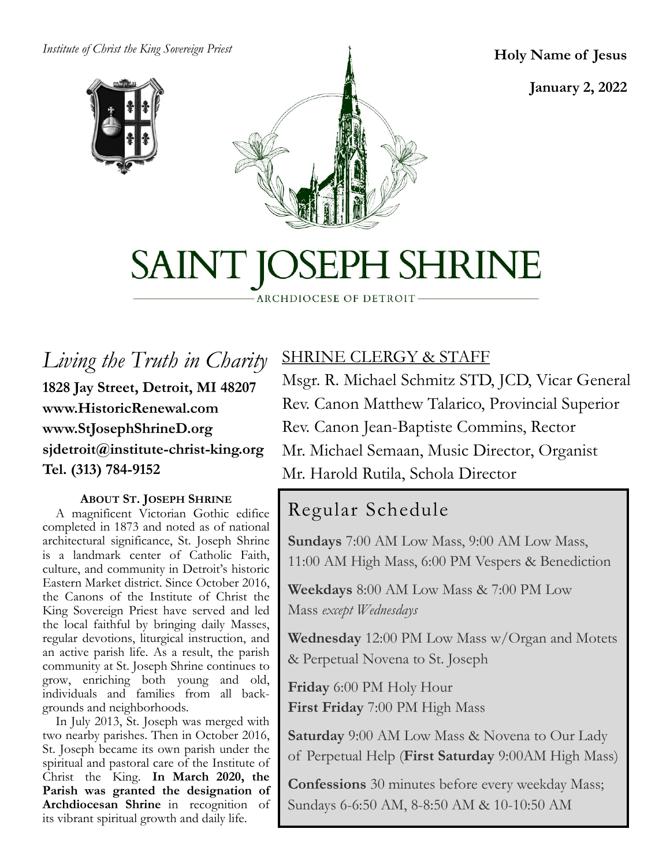*Institute of Christ the King Sovereign Priest*





**Holy Name of Jesus**

**January 2, 2022**

# SAINT JOSEPH SHRINE

ARCHDIOCESE OF DETROIT

*Living the Truth in Charity* **1828 Jay Street, Detroit, MI 48207 www.HistoricRenewal.com www.StJosephShrineD.org sjdetroit@institute-christ-king.org Tel. (313) 784-9152**

#### **ABOUT ST. JOSEPH SHRINE**

 A magnificent Victorian Gothic edifice completed in 1873 and noted as of national architectural significance, St. Joseph Shrine is a landmark center of Catholic Faith, culture, and community in Detroit's historic Eastern Market district. Since October 2016, the Canons of the Institute of Christ the King Sovereign Priest have served and led the local faithful by bringing daily Masses, regular devotions, liturgical instruction, and an active parish life. As a result, the parish community at St. Joseph Shrine continues to grow, enriching both young and old, individuals and families from all backgrounds and neighborhoods.

 In July 2013, St. Joseph was merged with two nearby parishes. Then in October 2016, St. Joseph became its own parish under the spiritual and pastoral care of the Institute of Christ the King. **In March 2020, the Parish was granted the designation of Archdiocesan Shrine** in recognition of its vibrant spiritual growth and daily life.

## SHRINE CLERGY & STAFF

Msgr. R. Michael Schmitz STD, JCD, Vicar General Rev. Canon Matthew Talarico, Provincial Superior Rev. Canon Jean-Baptiste Commins, Rector Mr. Michael Semaan, Music Director, Organist Mr. Harold Rutila, Schola Director

# Regular Schedule

**Sundays** 7:00 AM Low Mass, 9:00 AM Low Mass, 11:00 AM High Mass, 6:00 PM Vespers & Benediction

**Weekdays** 8:00 AM Low Mass & 7:00 PM Low Mass *except Wednesdays*

**Wednesday** 12:00 PM Low Mass w/Organ and Motets & Perpetual Novena to St. Joseph

**Friday** 6:00 PM Holy Hour **First Friday** 7:00 PM High Mass

**Saturday** 9:00 AM Low Mass & Novena to Our Lady of Perpetual Help (**First Saturday** 9:00AM High Mass)

**Confessions** 30 minutes before every weekday Mass; Sundays 6-6:50 AM, 8-8:50 AM & 10-10:50 AM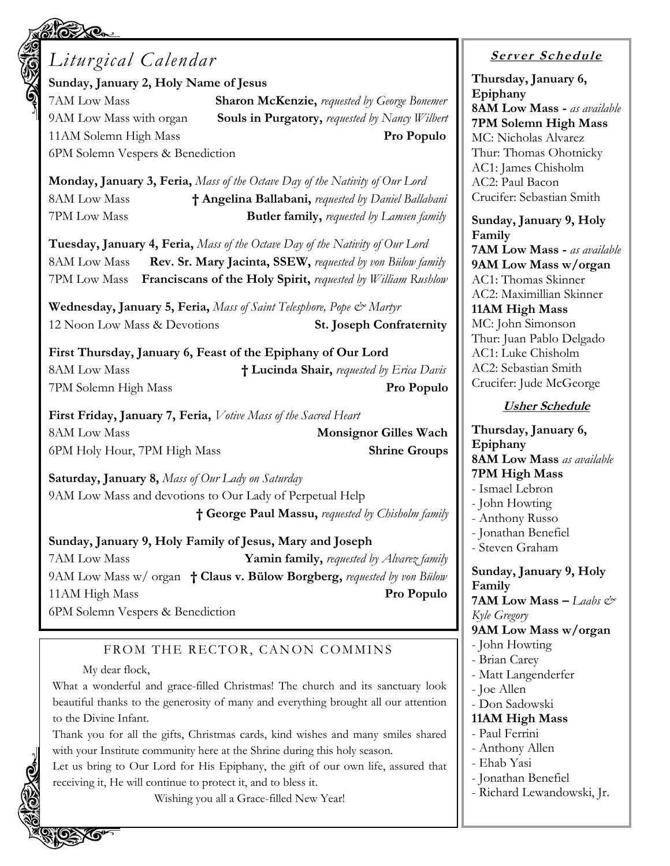# *Liturgical Calendar*

**Sunday, January 2, Holy Name of Jesus**

6PM Solemn Vespers & Benediction

7AM Low Mass **Sharon McKenzie,** *requested by George Bonemer* 9AM Low Mass with organ **Souls in Purgatory,** *requested by Nancy Wilbert* 11AM Solemn High Mass **Pro Populo**

**Monday, January 3, Feria,** *Mass of the Octave Day of the Nativity of Our Lord* 8AM Low Mass **† Angelina Ballabani,** *requested by Daniel Ballabani* 7PM Low Mass **Butler family,** *requested by Lamsen family*

**Tuesday, January 4, Feria,** *Mass of the Octave Day of the Nativity of Our Lord* 8AM Low Mass **Rev. Sr. Mary Jacinta, SSEW,** *requested by von Bülow family* 7PM Low Mass **Franciscans of the Holy Spirit,** *requested by William Rushlow*

**Wednesday, January 5, Feria,** *Mass of Saint Telesphore, Pope & Martyr* 12 Noon Low Mass & Devotions **St. Joseph Confraternity**

**First Thursday, January 6, Feast of the Epiphany of Our Lord** 8AM Low Mass **† Lucinda Shair,** *requested by Erica Davis* 7PM Solemn High Mass **Pro Populo**

**First Friday, January 7, Feria,** *Votive Mass of the Sacred Heart* 8AM Low Mass **Monsignor Gilles Wach** 6PM Holy Hour, 7PM High Mass **Shrine Groups**

**Saturday, January 8,** *Mass of Our Lady on Saturday* 9AM Low Mass and devotions to Our Lady of Perpetual Help **† George Paul Massu,** *requested by Chisholm family*

**Sunday, January 9, Holy Family of Jesus, Mary and Joseph** 7AM Low Mass **Yamin family,** *requested by Alvarez family* 9AM Low Mass w/ organ **† Claus v. Bülow Borgberg,** *requested by von Bülow* 11AM High Mass **Pro Populo** 6PM Solemn Vespers & Benediction

#### FROM THE RECTOR, CANON COMMINS

#### My dear flock,

What a wonderful and grace-filled Christmas! The church and its sanctuary look beautiful thanks to the generosity of many and everything brought all our attention to the Divine Infant.

Thank you for all the gifts, Christmas cards, kind wishes and many smiles shared with your Institute community here at the Shrine during this holy season.

Let us bring to Our Lord for His Epiphany, the gift of our own life, assured that receiving it, He will continue to protect it, and to bless it.

Wishing you all a Grace-filled New Year!

#### **<sup>S</sup> <sup>e</sup> rv er <sup>S</sup> <sup>c</sup> he du le**

**Thursday, January 6, Epiphany 8AM Low Mass -** *as available*  **7PM Solemn High Mass**  MC: Nicholas Alvarez Thur: Thomas Ohotnicky AC1: James Chisholm AC2: Paul Bacon Crucifer: Sebastian Smith

**Sunday, January 9, Holy Family 7AM Low Mass -** *as available* **9AM Low Mass w/organ** AC1: Thomas Skinner AC2: Maximillian Skinner **11AM High Mass** MC: John Simonson Thur: Juan Pablo Delgado AC1: Luke Chisholm AC2: Sebastian Smith Crucifer: Jude McGeorge

#### **Usher Schedule**

**Thursday, January 6, Epiphany 8AM Low Mass** *as available*  **7PM High Mass**  - Ismael Lebron - John Howting - Anthony Russo - Jonathan Benefiel - Steven Graham **Sunday, January 9, Holy Family 7AM Low Mass –** *Laabs*  $\mathcal{Q}^*$ *Kyle Gregory* **9AM Low Mass w/organ** - John Howting - Brian Carey - Matt Langenderfer - Joe Allen - Don Sadowski **11AM High Mass** - Paul Ferrini - Anthony Allen - Ehab Yasi - Jonathan Benefiel - Richard Lewandowski, Jr.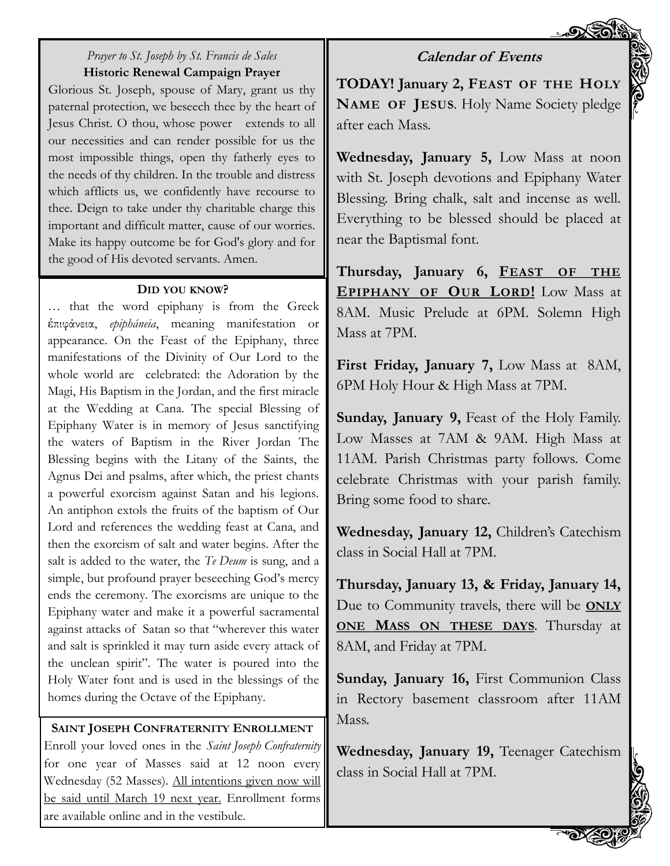#### **Calendar of Events**

#### *Prayer to St. Joseph by St. Francis de Sales* **Historic Renewal Campaign Prayer**

Glorious St. Joseph, spouse of Mary, grant us thy paternal protection, we beseech thee by the heart of Jesus Christ. O thou, whose power extends to all our necessities and can render possible for us the most impossible things, open thy fatherly eyes to the needs of thy children. In the trouble and distress which afflicts us, we confidently have recourse to thee. Deign to take under thy charitable charge this important and difficult matter, cause of our worries. Make its happy outcome be for God's glory and for the good of His devoted servants. Amen.

#### **DID YOU KNOW?**

… that the word epiphany is from the Greek ἐπιφάνεια, *epipháneia*, meaning manifestation or appearance. On the Feast of the Epiphany, three manifestations of the Divinity of Our Lord to the whole world are celebrated: the Adoration by the Magi, His Baptism in the Jordan, and the first miracle at the Wedding at Cana. The special Blessing of Epiphany Water is in memory of Jesus sanctifying the waters of Baptism in the River Jordan The Blessing begins with the Litany of the Saints, the Agnus Dei and psalms, after which, the priest chants a powerful exorcism against Satan and his legions. An antiphon extols the fruits of the baptism of Our Lord and references the wedding feast at Cana, and then the exorcism of salt and water begins. After the salt is added to the water, the *Te Deum* is sung, and a simple, but profound prayer beseeching God's mercy ends the ceremony. The exorcisms are unique to the Epiphany water and make it a powerful sacramental against attacks of Satan so that "wherever this water and salt is sprinkled it may turn aside every attack of the unclean spirit". The water is poured into the Holy Water font and is used in the blessings of the homes during the Octave of the Epiphany.

#### **SAINT JOSEPH CONFRATERNITY ENROLLMENT**

Enroll your loved ones in the *Saint Joseph Confraternity*  for one year of Masses said at 12 noon every Wednesday (52 Masses). All intentions given now will be said until March 19 next year. Enrollment forms are available online and in the vestibule.

**TODAY! January 2, FEAST OF THE HOLY NAME OF JESUS**. Holy Name Society pledge after each Mass.

**Wednesday, January 5,** Low Mass at noon with St. Joseph devotions and Epiphany Water Blessing. Bring chalk, salt and incense as well. Everything to be blessed should be placed at near the Baptismal font.

**Thursday, January 6, FEAST OF THE EPIPHANY OF OUR LORD!** Low Mass at 8AM. Music Prelude at 6PM. Solemn High Mass at 7PM.

**First Friday, January 7,** Low Mass at 8AM, 6PM Holy Hour & High Mass at 7PM.

**Sunday, January 9,** Feast of the Holy Family. Low Masses at 7AM & 9AM. High Mass at 11AM. Parish Christmas party follows. Come celebrate Christmas with your parish family. Bring some food to share.

**Wednesday, January 12,** Children's Catechism class in Social Hall at 7PM.

**Thursday, January 13, & Friday, January 14,** Due to Community travels, there will be **ONLY ONE MASS ON THESE DAYS**. Thursday at 8AM, and Friday at 7PM.

**Sunday, January 16,** First Communion Class in Rectory basement classroom after 11AM Mass.

**Wednesday, January 19,** Teenager Catechism class in Social Hall at 7PM.